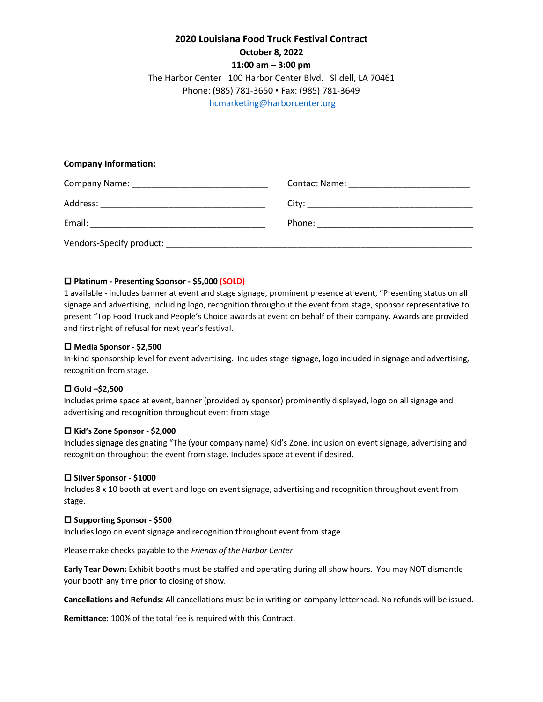# **2020 Louisiana Food Truck Festival Contract October 8, 2022 11:00 am – 3:00 pm** The Harbor Center 100 Harbor Center Blvd. Slidell, LA 70461 Phone: (985) 781-3650 • Fax: (985) 781-3649 [hcmarketing@harborcenter.org](mailto:hcmarketing@harborcenter.org)

## **Company Information:**

| <b>Company Name:</b>     | Contact Name: |
|--------------------------|---------------|
| Address:                 |               |
| Email:                   | Phone:        |
| Vendors-Specify product: |               |

## **Platinum - Presenting Sponsor - \$5,000 (SOLD)**

1 available - includes banner at event and stage signage, prominent presence at event, "Presenting status on all signage and advertising, including logo, recognition throughout the event from stage, sponsor representative to present "Top Food Truck and People's Choice awards at event on behalf of their company. Awards are provided and first right of refusal for next year's festival.

### **Media Sponsor - \$2,500**

In-kind sponsorship level for event advertising. Includes stage signage, logo included in signage and advertising, recognition from stage.

## **Gold –\$2,500**

Includes prime space at event, banner (provided by sponsor) prominently displayed, logo on all signage and advertising and recognition throughout event from stage.

#### **Kid's Zone Sponsor - \$2,000**

Includes signage designating "The (your company name) Kid's Zone, inclusion on event signage, advertising and recognition throughout the event from stage. Includes space at event if desired.

#### **Silver Sponsor - \$1000**

Includes 8 x 10 booth at event and logo on event signage, advertising and recognition throughout event from stage.

#### **Supporting Sponsor - \$500**

Includes logo on event signage and recognition throughout event from stage.

Please make checks payable to the *Friends of the Harbor Center*.

**Early Tear Down:** Exhibit booths must be staffed and operating during all show hours. You may NOT dismantle your booth any time prior to closing of show.

**Cancellations and Refunds:** All cancellations must be in writing on company letterhead. No refunds will be issued.

**Remittance:** 100% of the total fee is required with this Contract.